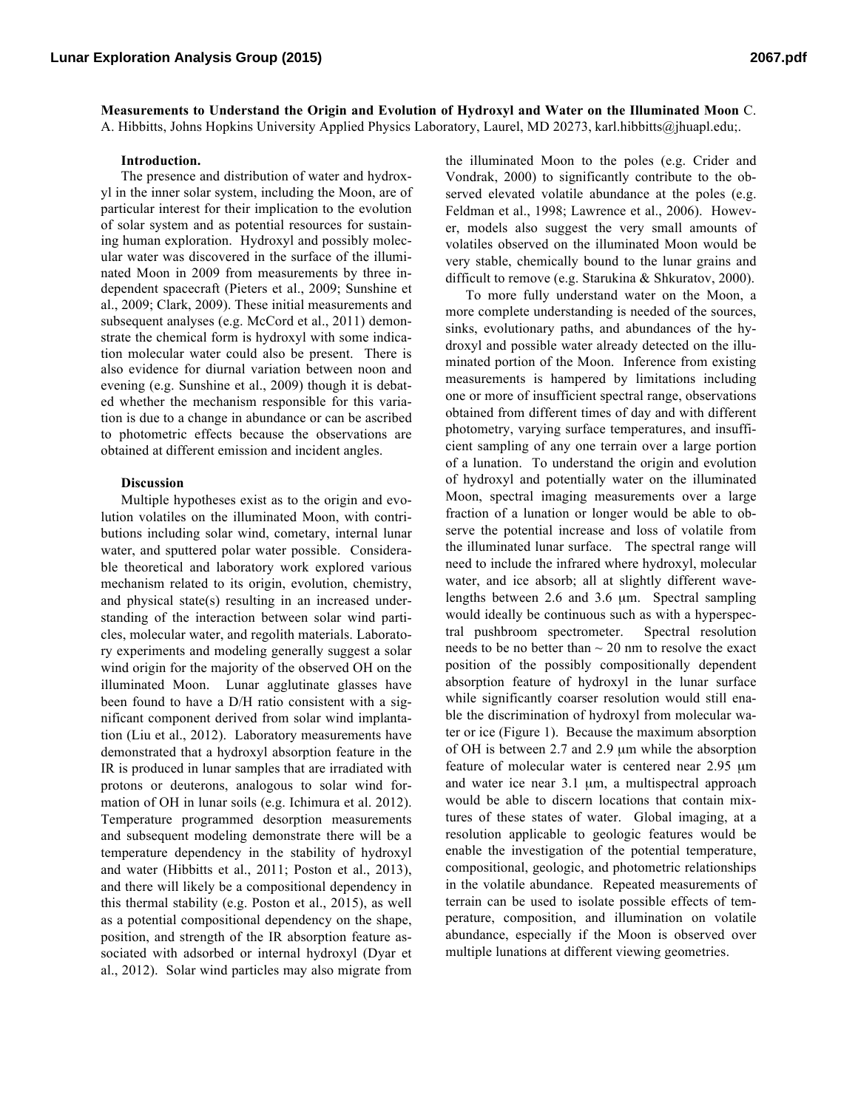**Measurements to Understand the Origin and Evolution of Hydroxyl and Water on the Illuminated Moon** C. A. Hibbitts, Johns Hopkins University Applied Physics Laboratory, Laurel, MD 20273, karl.hibbitts@jhuapl.edu;.

## **Introduction.**

The presence and distribution of water and hydroxyl in the inner solar system, including the Moon, are of particular interest for their implication to the evolution of solar system and as potential resources for sustaining human exploration. Hydroxyl and possibly molecular water was discovered in the surface of the illuminated Moon in 2009 from measurements by three independent spacecraft (Pieters et al., 2009; Sunshine et al., 2009; Clark, 2009). These initial measurements and subsequent analyses (e.g. McCord et al., 2011) demonstrate the chemical form is hydroxyl with some indication molecular water could also be present. There is also evidence for diurnal variation between noon and evening (e.g. Sunshine et al., 2009) though it is debated whether the mechanism responsible for this variation is due to a change in abundance or can be ascribed to photometric effects because the observations are obtained at different emission and incident angles.

## **Discussion**

Multiple hypotheses exist as to the origin and evolution volatiles on the illuminated Moon, with contributions including solar wind, cometary, internal lunar water, and sputtered polar water possible. Considerable theoretical and laboratory work explored various mechanism related to its origin, evolution, chemistry, and physical state(s) resulting in an increased understanding of the interaction between solar wind particles, molecular water, and regolith materials. Laboratory experiments and modeling generally suggest a solar wind origin for the majority of the observed OH on the illuminated Moon. Lunar agglutinate glasses have been found to have a D/H ratio consistent with a significant component derived from solar wind implantation (Liu et al., 2012). Laboratory measurements have demonstrated that a hydroxyl absorption feature in the IR is produced in lunar samples that are irradiated with protons or deuterons, analogous to solar wind formation of OH in lunar soils (e.g. Ichimura et al. 2012). Temperature programmed desorption measurements and subsequent modeling demonstrate there will be a temperature dependency in the stability of hydroxyl and water (Hibbitts et al., 2011; Poston et al., 2013), and there will likely be a compositional dependency in this thermal stability (e.g. Poston et al., 2015), as well as a potential compositional dependency on the shape, position, and strength of the IR absorption feature associated with adsorbed or internal hydroxyl (Dyar et al., 2012). Solar wind particles may also migrate from

the illuminated Moon to the poles (e.g. Crider and Vondrak, 2000) to significantly contribute to the observed elevated volatile abundance at the poles (e.g. Feldman et al., 1998; Lawrence et al., 2006). However, models also suggest the very small amounts of volatiles observed on the illuminated Moon would be very stable, chemically bound to the lunar grains and difficult to remove (e.g. Starukina & Shkuratov, 2000).

To more fully understand water on the Moon, a more complete understanding is needed of the sources, sinks, evolutionary paths, and abundances of the hydroxyl and possible water already detected on the illuminated portion of the Moon. Inference from existing measurements is hampered by limitations including one or more of insufficient spectral range, observations obtained from different times of day and with different photometry, varying surface temperatures, and insufficient sampling of any one terrain over a large portion of a lunation. To understand the origin and evolution of hydroxyl and potentially water on the illuminated Moon, spectral imaging measurements over a large fraction of a lunation or longer would be able to observe the potential increase and loss of volatile from the illuminated lunar surface. The spectral range will need to include the infrared where hydroxyl, molecular water, and ice absorb; all at slightly different wavelengths between 2.6 and 3.6 µm. Spectral sampling would ideally be continuous such as with a hyperspectral pushbroom spectrometer. Spectral resolution needs to be no better than  $\sim$  20 nm to resolve the exact position of the possibly compositionally dependent absorption feature of hydroxyl in the lunar surface while significantly coarser resolution would still enable the discrimination of hydroxyl from molecular water or ice (Figure 1). Because the maximum absorption of OH is between 2.7 and 2.9 µm while the absorption feature of molecular water is centered near 2.95 µm and water ice near 3.1 µm, a multispectral approach would be able to discern locations that contain mixtures of these states of water. Global imaging, at a resolution applicable to geologic features would be enable the investigation of the potential temperature, compositional, geologic, and photometric relationships in the volatile abundance. Repeated measurements of terrain can be used to isolate possible effects of temperature, composition, and illumination on volatile abundance, especially if the Moon is observed over multiple lunations at different viewing geometries.